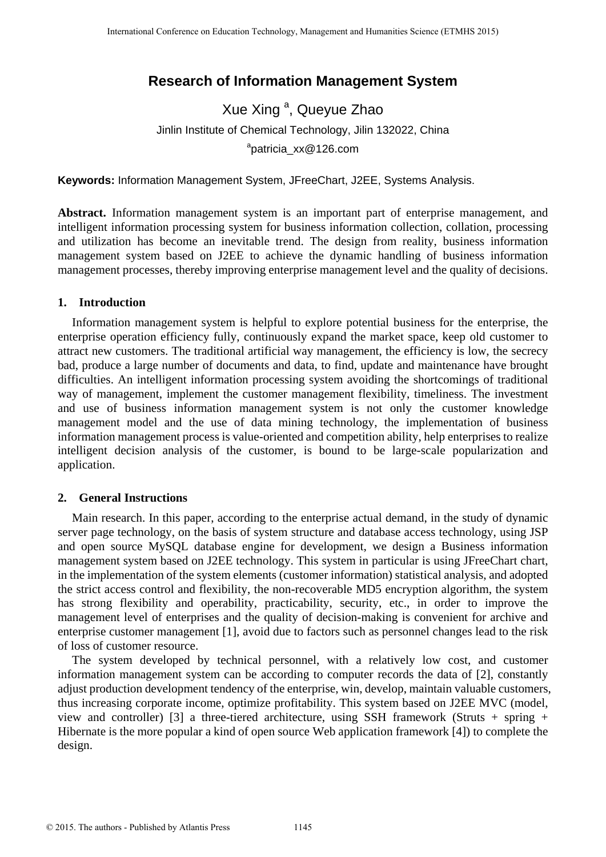# **Research of Information Management System**

Xue Xing<sup>a</sup>, Queyue Zhao Jinlin Institute of Chemical Technology, Jilin 132022, China <sup>a</sup>patricia\_xx@126.com

**Keywords:** Information Management System, JFreeChart, J2EE, Systems Analysis.

**Abstract.** Information management system is an important part of enterprise management, and intelligent information processing system for business information collection, collation, processing and utilization has become an inevitable trend. The design from reality, business information management system based on J2EE to achieve the dynamic handling of business information management processes, thereby improving enterprise management level and the quality of decisions.

# **1. Introduction**

Information management system is helpful to explore potential business for the enterprise, the enterprise operation efficiency fully, continuously expand the market space, keep old customer to attract new customers. The traditional artificial way management, the efficiency is low, the secrecy bad, produce a large number of documents and data, to find, update and maintenance have brought difficulties. An intelligent information processing system avoiding the shortcomings of traditional way of management, implement the customer management flexibility, timeliness. The investment and use of business information management system is not only the customer knowledge management model and the use of data mining technology, the implementation of business information management process is value-oriented and competition ability, help enterprises to realize intelligent decision analysis of the customer, is bound to be large-scale popularization and application. International Conference of Education Technology, Conference of Energy Conference of Conference on Equal Conference on Conference on Conference on Equal Conference on Equal Conference on Equal Conference on Equal Conferenc

## **2. General Instructions**

Main research. In this paper, according to the enterprise actual demand, in the study of dynamic server page technology, on the basis of system structure and database access technology, using JSP and open source MySQL database engine for development, we design a Business information management system based on J2EE technology. This system in particular is using JFreeChart chart, in the implementation of the system elements (customer information) statistical analysis, and adopted the strict access control and flexibility, the non-recoverable MD5 encryption algorithm, the system has strong flexibility and operability, practicability, security, etc., in order to improve the management level of enterprises and the quality of decision-making is convenient for archive and enterprise customer management [1], avoid due to factors such as personnel changes lead to the risk of loss of customer resource.

The system developed by technical personnel, with a relatively low cost, and customer information management system can be according to computer records the data of [2], constantly adjust production development tendency of the enterprise, win, develop, maintain valuable customers, thus increasing corporate income, optimize profitability. This system based on J2EE MVC (model, view and controller) [3] a three-tiered architecture, using SSH framework (Struts + spring + Hibernate is the more popular a kind of open source Web application framework [4]) to complete the design.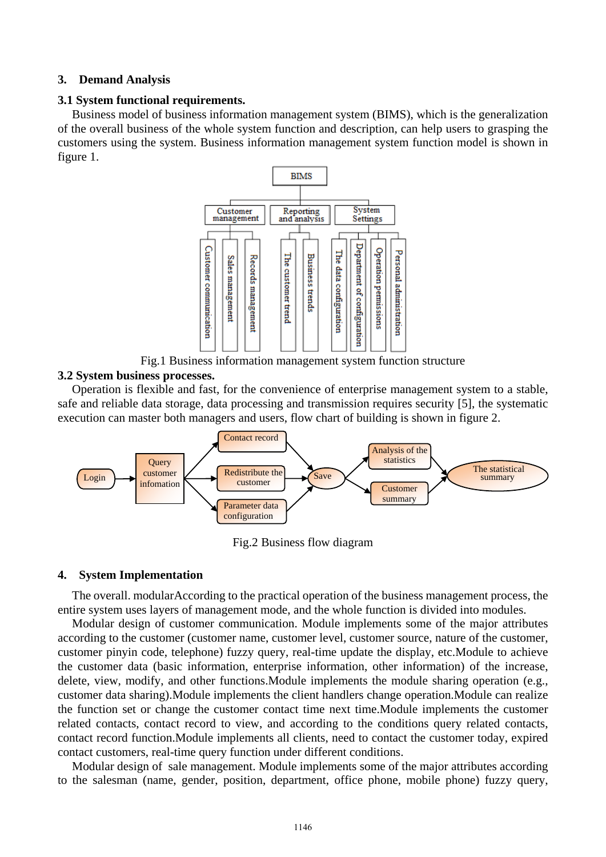#### **3. Demand Analysis**

## **3.1 System functional requirements.**

Business model of business information management system (BIMS), which is the generalization of the overall business of the whole system function and description, can help users to grasping the customers using the system. Business information management system function model is shown in figure 1.



Fig.1 Business information management system function structure

## **3.2 System business processes.**

Operation is flexible and fast, for the convenience of enterprise management system to a stable, safe and reliable data storage, data processing and transmission requires security [5], the systematic execution can master both managers and users, flow chart of building is shown in figure 2.



Fig.2 Business flow diagram

## **4. System Implementation**

The overall. modularAccording to the practical operation of the business management process, the entire system uses layers of management mode, and the whole function is divided into modules.

Modular design of customer communication. Module implements some of the major attributes according to the customer (customer name, customer level, customer source, nature of the customer, customer pinyin code, telephone) fuzzy query, real-time update the display, etc.Module to achieve the customer data (basic information, enterprise information, other information) of the increase, delete, view, modify, and other functions.Module implements the module sharing operation (e.g., customer data sharing).Module implements the client handlers change operation.Module can realize the function set or change the customer contact time next time.Module implements the customer related contacts, contact record to view, and according to the conditions query related contacts, contact record function.Module implements all clients, need to contact the customer today, expired contact customers, real-time query function under different conditions.

Modular design of sale management. Module implements some of the major attributes according to the salesman (name, gender, position, department, office phone, mobile phone) fuzzy query,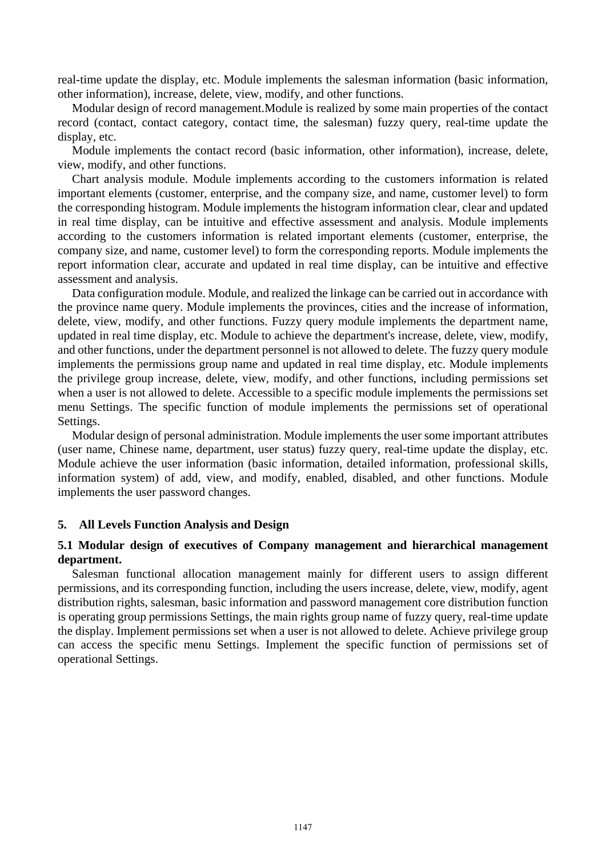real-time update the display, etc. Module implements the salesman information (basic information, other information), increase, delete, view, modify, and other functions.

Modular design of record management.Module is realized by some main properties of the contact record (contact, contact category, contact time, the salesman) fuzzy query, real-time update the display, etc.

Module implements the contact record (basic information, other information), increase, delete, view, modify, and other functions.

Chart analysis module. Module implements according to the customers information is related important elements (customer, enterprise, and the company size, and name, customer level) to form the corresponding histogram. Module implements the histogram information clear, clear and updated in real time display, can be intuitive and effective assessment and analysis. Module implements according to the customers information is related important elements (customer, enterprise, the company size, and name, customer level) to form the corresponding reports. Module implements the report information clear, accurate and updated in real time display, can be intuitive and effective assessment and analysis.

Data configuration module. Module, and realized the linkage can be carried out in accordance with the province name query. Module implements the provinces, cities and the increase of information, delete, view, modify, and other functions. Fuzzy query module implements the department name, updated in real time display, etc. Module to achieve the department's increase, delete, view, modify, and other functions, under the department personnel is not allowed to delete. The fuzzy query module implements the permissions group name and updated in real time display, etc. Module implements the privilege group increase, delete, view, modify, and other functions, including permissions set when a user is not allowed to delete. Accessible to a specific module implements the permissions set menu Settings. The specific function of module implements the permissions set of operational Settings.

Modular design of personal administration. Module implements the user some important attributes (user name, Chinese name, department, user status) fuzzy query, real-time update the display, etc. Module achieve the user information (basic information, detailed information, professional skills, information system) of add, view, and modify, enabled, disabled, and other functions. Module implements the user password changes.

#### **5. All Levels Function Analysis and Design**

## **5.1 Modular design of executives of Company management and hierarchical management department.**

Salesman functional allocation management mainly for different users to assign different permissions, and its corresponding function, including the users increase, delete, view, modify, agent distribution rights, salesman, basic information and password management core distribution function is operating group permissions Settings, the main rights group name of fuzzy query, real-time update the display. Implement permissions set when a user is not allowed to delete. Achieve privilege group can access the specific menu Settings. Implement the specific function of permissions set of operational Settings.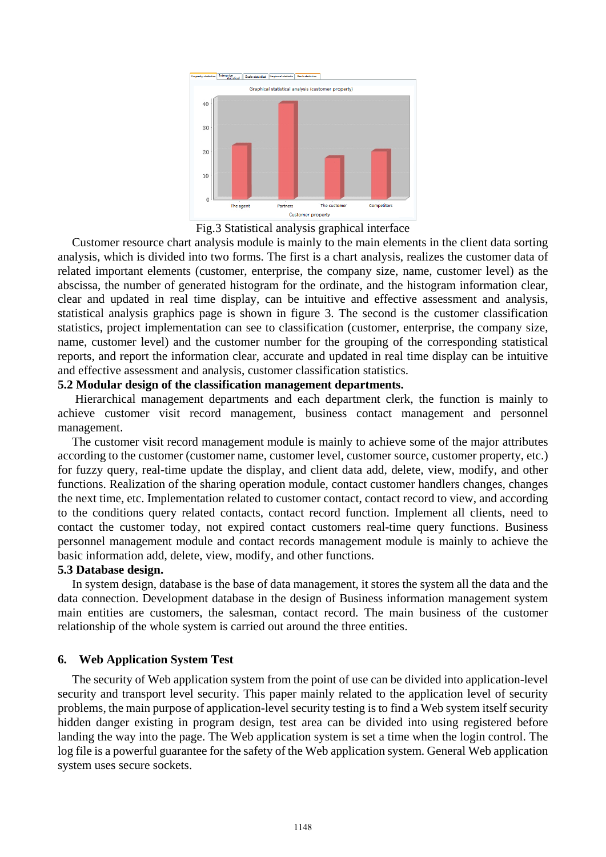

Fig.3 Statistical analysis graphical interface

Customer resource chart analysis module is mainly to the main elements in the client data sorting analysis, which is divided into two forms. The first is a chart analysis, realizes the customer data of related important elements (customer, enterprise, the company size, name, customer level) as the abscissa, the number of generated histogram for the ordinate, and the histogram information clear, clear and updated in real time display, can be intuitive and effective assessment and analysis, statistical analysis graphics page is shown in figure 3. The second is the customer classification statistics, project implementation can see to classification (customer, enterprise, the company size, name, customer level) and the customer number for the grouping of the corresponding statistical reports, and report the information clear, accurate and updated in real time display can be intuitive and effective assessment and analysis, customer classification statistics.

#### **5.2 Modular design of the classification management departments.**

Hierarchical management departments and each department clerk, the function is mainly to achieve customer visit record management, business contact management and personnel management.

The customer visit record management module is mainly to achieve some of the major attributes according to the customer (customer name, customer level, customer source, customer property, etc.) for fuzzy query, real-time update the display, and client data add, delete, view, modify, and other functions. Realization of the sharing operation module, contact customer handlers changes, changes the next time, etc. Implementation related to customer contact, contact record to view, and according to the conditions query related contacts, contact record function. Implement all clients, need to contact the customer today, not expired contact customers real-time query functions. Business personnel management module and contact records management module is mainly to achieve the basic information add, delete, view, modify, and other functions.

#### **5.3 Database design.**

In system design, database is the base of data management, it stores the system all the data and the data connection. Development database in the design of Business information management system main entities are customers, the salesman, contact record. The main business of the customer relationship of the whole system is carried out around the three entities.

## **6. Web Application System Test**

The security of Web application system from the point of use can be divided into application-level security and transport level security. This paper mainly related to the application level of security problems, the main purpose of application-level security testing is to find a Web system itself security hidden danger existing in program design, test area can be divided into using registered before landing the way into the page. The Web application system is set a time when the login control. The log file is a powerful guarantee for the safety of the Web application system. General Web application system uses secure sockets.